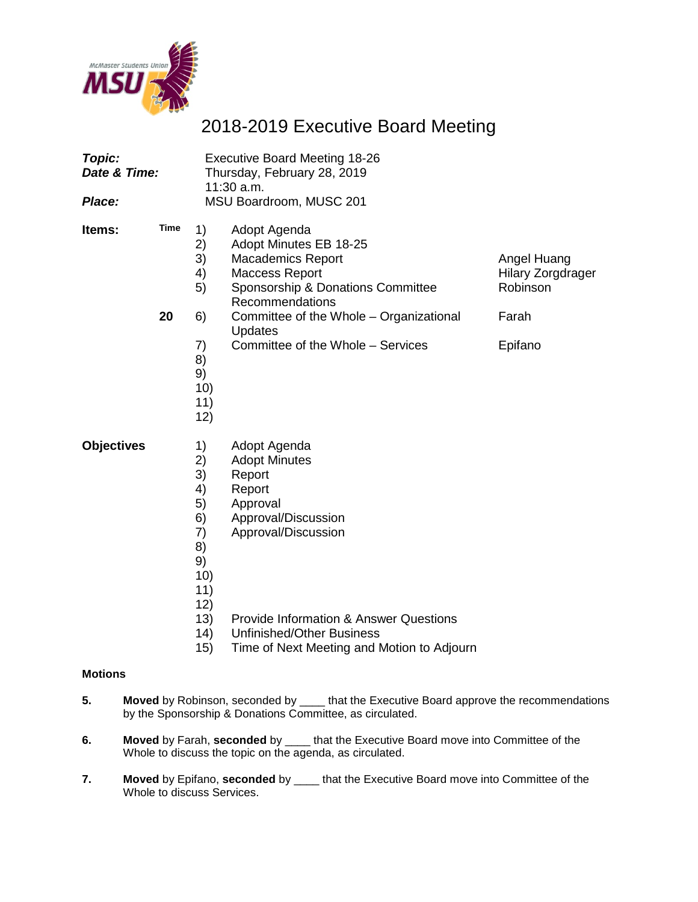

# 2018-2019 Executive Board Meeting

| Topic:<br>Date & Time:<br>Place: |            | <b>Executive Board Meeting 18-26</b><br>Thursday, February 28, 2019<br>11:30 a.m.<br>MSU Boardroom, MUSC 201 |                                                                                                                                                                                                                                                           |                                                              |  |  |
|----------------------------------|------------|--------------------------------------------------------------------------------------------------------------|-----------------------------------------------------------------------------------------------------------------------------------------------------------------------------------------------------------------------------------------------------------|--------------------------------------------------------------|--|--|
| Items:                           | Time<br>20 | 1)<br>2)<br>3)<br>4)<br>5)                                                                                   | Adopt Agenda<br>Adopt Minutes EB 18-25<br>Macademics Report<br><b>Maccess Report</b><br>Sponsorship & Donations Committee<br>Recommendations                                                                                                              | Angel Huang<br><b>Hilary Zorgdrager</b><br>Robinson<br>Farah |  |  |
|                                  |            | 6)<br>7)<br>8)<br>9)<br>10)<br>11)<br>12)                                                                    | Committee of the Whole - Organizational<br>Updates<br>Committee of the Whole - Services                                                                                                                                                                   | Epifano                                                      |  |  |
| <b>Objectives</b>                |            | 1)<br>2)<br>3)<br>4)<br>5)<br>6)<br>7)<br>8)<br>9)<br>10)<br>11)<br>12)<br>13)<br>(14)<br>15)                | Adopt Agenda<br><b>Adopt Minutes</b><br>Report<br>Report<br>Approval<br>Approval/Discussion<br>Approval/Discussion<br><b>Provide Information &amp; Answer Questions</b><br><b>Unfinished/Other Business</b><br>Time of Next Meeting and Motion to Adjourn |                                                              |  |  |

### **Motions**

- **5. Moved** by Robinson, seconded by \_\_\_\_ that the Executive Board approve the recommendations by the Sponsorship & Donations Committee, as circulated.
- **6. Moved** by Farah, **seconded** by \_\_\_\_ that the Executive Board move into Committee of the Whole to discuss the topic on the agenda, as circulated.
- **7. Moved** by Epifano, **seconded** by \_\_\_\_ that the Executive Board move into Committee of the Whole to discuss Services.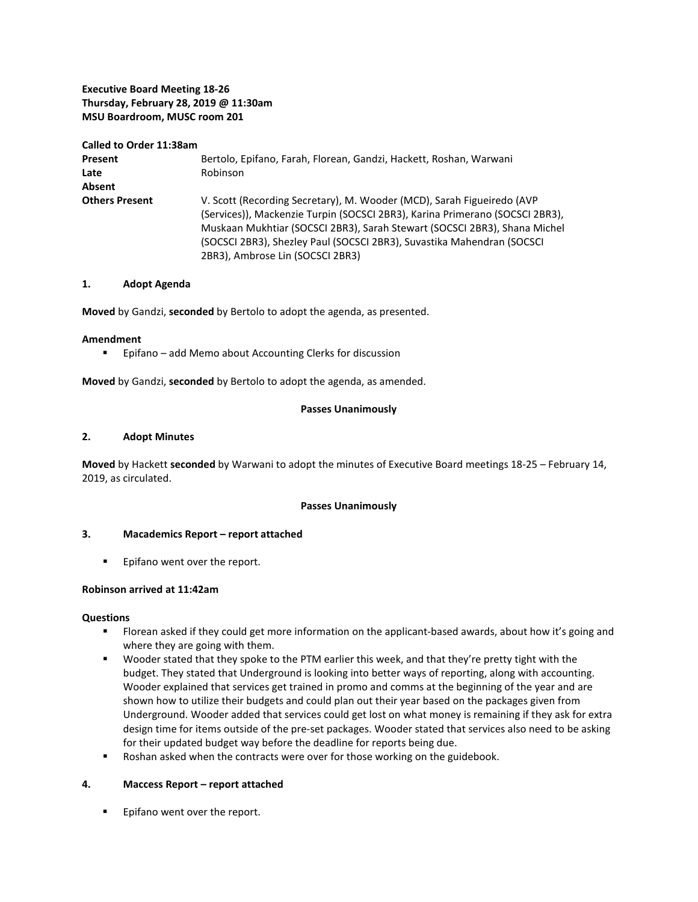### **Executive Board Meeting 18-26 Thursday, February 28, 2019 @ 11:30am MSU Boardroom, MUSC room 201**

| Called to Order 11:38am |                                                                              |
|-------------------------|------------------------------------------------------------------------------|
| Present                 | Bertolo, Epifano, Farah, Florean, Gandzi, Hackett, Roshan, Warwani           |
| Late                    | Robinson                                                                     |
| Absent                  |                                                                              |
| <b>Others Present</b>   | V. Scott (Recording Secretary), M. Wooder (MCD), Sarah Figueiredo (AVP       |
|                         | (Services)), Mackenzie Turpin (SOCSCI 2BR3), Karina Primerano (SOCSCI 2BR3), |
|                         | Muskaan Mukhtiar (SOCSCI 2BR3), Sarah Stewart (SOCSCI 2BR3), Shana Michel    |
|                         | (SOCSCI 2BR3), Shezley Paul (SOCSCI 2BR3), Suvastika Mahendran (SOCSCI       |
|                         | 2BR3), Ambrose Lin (SOCSCI 2BR3)                                             |

### **1. Adopt Agenda**

**Moved** by Gandzi, **seconded** by Bertolo to adopt the agenda, as presented.

#### **Amendment**

**Epifano** – add Memo about Accounting Clerks for discussion

**Moved** by Gandzi, **seconded** by Bertolo to adopt the agenda, as amended.

### **Passes Unanimously**

### **2. Adopt Minutes**

**Moved** by Hackett **seconded** by Warwani to adopt the minutes of Executive Board meetings 18-25 – February 14, 2019, as circulated.

### **Passes Unanimously**

### **3. Macademics Report – report attached**

**Epifano went over the report.** 

### **Robinson arrived at 11:42am**

### **Questions**

- Florean asked if they could get more information on the applicant-based awards, about how it's going and where they are going with them.
- Wooder stated that they spoke to the PTM earlier this week, and that they're pretty tight with the budget. They stated that Underground is looking into better ways of reporting, along with accounting. Wooder explained that services get trained in promo and comms at the beginning of the year and are shown how to utilize their budgets and could plan out their year based on the packages given from Underground. Wooder added that services could get lost on what money is remaining if they ask for extra design time for items outside of the pre-set packages. Wooder stated that services also need to be asking for their updated budget way before the deadline for reports being due.
- **Roshan asked when the contracts were over for those working on the guidebook.**

### **4. Maccess Report – report attached**

**Epifano went over the report.**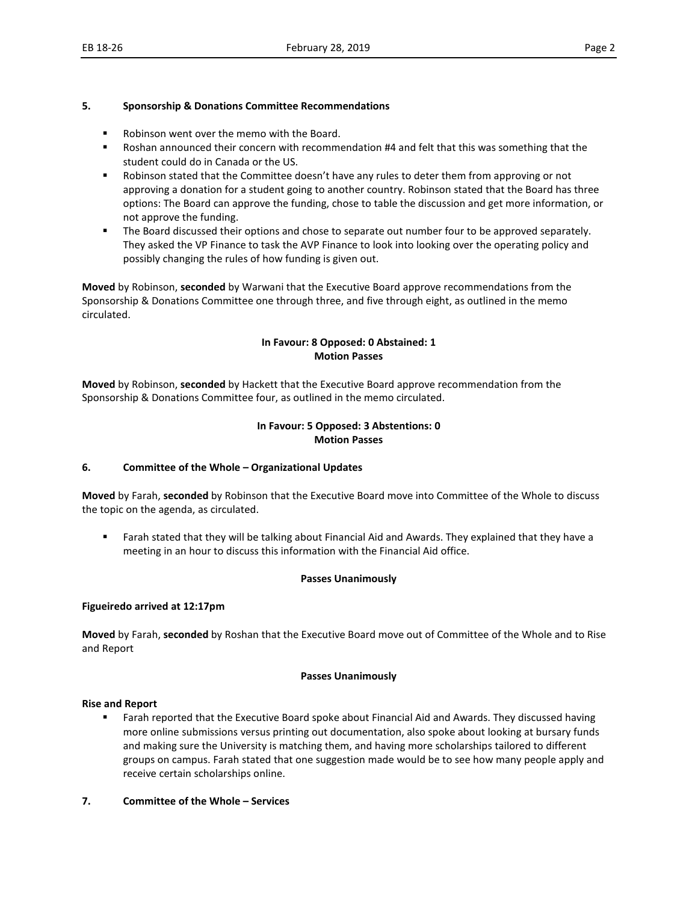### **5. Sponsorship & Donations Committee Recommendations**

- Robinson went over the memo with the Board.
- Roshan announced their concern with recommendation #4 and felt that this was something that the student could do in Canada or the US.
- **Robinson stated that the Committee doesn't have any rules to deter them from approving or not** approving a donation for a student going to another country. Robinson stated that the Board has three options: The Board can approve the funding, chose to table the discussion and get more information, or not approve the funding.
- **The Board discussed their options and chose to separate out number four to be approved separately.** They asked the VP Finance to task the AVP Finance to look into looking over the operating policy and possibly changing the rules of how funding is given out.

**Moved** by Robinson, **seconded** by Warwani that the Executive Board approve recommendations from the Sponsorship & Donations Committee one through three, and five through eight, as outlined in the memo circulated.

### **In Favour: 8 Opposed: 0 Abstained: 1 Motion Passes**

**Moved** by Robinson, **seconded** by Hackett that the Executive Board approve recommendation from the Sponsorship & Donations Committee four, as outlined in the memo circulated.

### **In Favour: 5 Opposed: 3 Abstentions: 0 Motion Passes**

### **6. Committee of the Whole – Organizational Updates**

**Moved** by Farah, **seconded** by Robinson that the Executive Board move into Committee of the Whole to discuss the topic on the agenda, as circulated.

 Farah stated that they will be talking about Financial Aid and Awards. They explained that they have a meeting in an hour to discuss this information with the Financial Aid office.

### **Passes Unanimously**

### **Figueiredo arrived at 12:17pm**

**Moved** by Farah, **seconded** by Roshan that the Executive Board move out of Committee of the Whole and to Rise and Report

### **Passes Unanimously**

### **Rise and Report**

**Farah reported that the Executive Board spoke about Financial Aid and Awards. They discussed having** more online submissions versus printing out documentation, also spoke about looking at bursary funds and making sure the University is matching them, and having more scholarships tailored to different groups on campus. Farah stated that one suggestion made would be to see how many people apply and receive certain scholarships online.

### **7. Committee of the Whole – Services**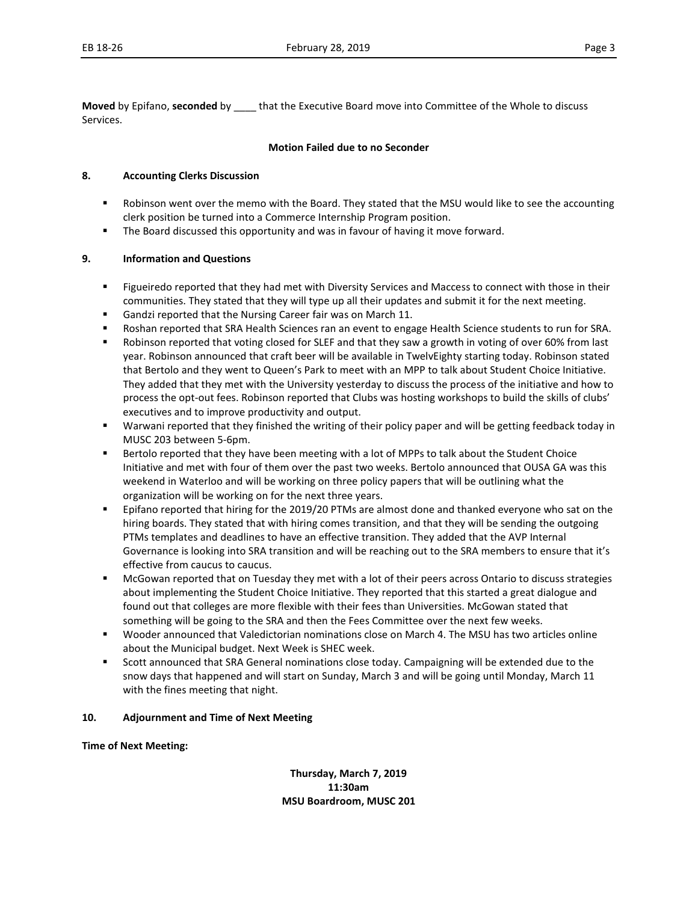**Moved** by Epifano, **seconded** by \_\_\_\_ that the Executive Board move into Committee of the Whole to discuss Services.

### **Motion Failed due to no Seconder**

### **8. Accounting Clerks Discussion**

- Robinson went over the memo with the Board. They stated that the MSU would like to see the accounting clerk position be turned into a Commerce Internship Program position.
- **The Board discussed this opportunity and was in favour of having it move forward.**

### **9. Information and Questions**

- **Figueiredo reported that they had met with Diversity Services and Maccess to connect with those in their** communities. They stated that they will type up all their updates and submit it for the next meeting.
- Gandzi reported that the Nursing Career fair was on March 11.
- Roshan reported that SRA Health Sciences ran an event to engage Health Science students to run for SRA.
- Robinson reported that voting closed for SLEF and that they saw a growth in voting of over 60% from last year. Robinson announced that craft beer will be available in TwelvEighty starting today. Robinson stated that Bertolo and they went to Queen's Park to meet with an MPP to talk about Student Choice Initiative. They added that they met with the University yesterday to discuss the process of the initiative and how to process the opt-out fees. Robinson reported that Clubs was hosting workshops to build the skills of clubs' executives and to improve productivity and output.
- Warwani reported that they finished the writing of their policy paper and will be getting feedback today in MUSC 203 between 5-6pm.
- Bertolo reported that they have been meeting with a lot of MPPs to talk about the Student Choice Initiative and met with four of them over the past two weeks. Bertolo announced that OUSA GA was this weekend in Waterloo and will be working on three policy papers that will be outlining what the organization will be working on for the next three years.
- Epifano reported that hiring for the 2019/20 PTMs are almost done and thanked everyone who sat on the hiring boards. They stated that with hiring comes transition, and that they will be sending the outgoing PTMs templates and deadlines to have an effective transition. They added that the AVP Internal Governance is looking into SRA transition and will be reaching out to the SRA members to ensure that it's effective from caucus to caucus.
- McGowan reported that on Tuesday they met with a lot of their peers across Ontario to discuss strategies about implementing the Student Choice Initiative. They reported that this started a great dialogue and found out that colleges are more flexible with their fees than Universities. McGowan stated that something will be going to the SRA and then the Fees Committee over the next few weeks.
- Wooder announced that Valedictorian nominations close on March 4. The MSU has two articles online about the Municipal budget. Next Week is SHEC week.
- **Scott announced that SRA General nominations close today. Campaigning will be extended due to the** snow days that happened and will start on Sunday, March 3 and will be going until Monday, March 11 with the fines meeting that night.

### **10. Adjournment and Time of Next Meeting**

**Time of Next Meeting:** 

**Thursday, March 7, 2019 11:30am MSU Boardroom, MUSC 201**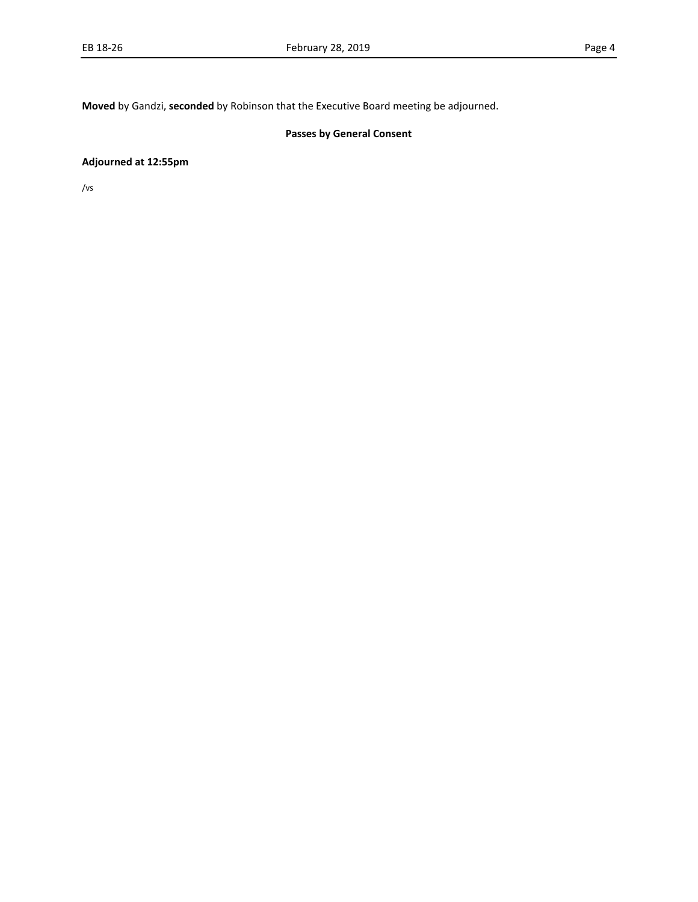**Moved** by Gandzi, **seconded** by Robinson that the Executive Board meeting be adjourned.

### **Passes by General Consent**

### **Adjourned at 12:55pm**

/vs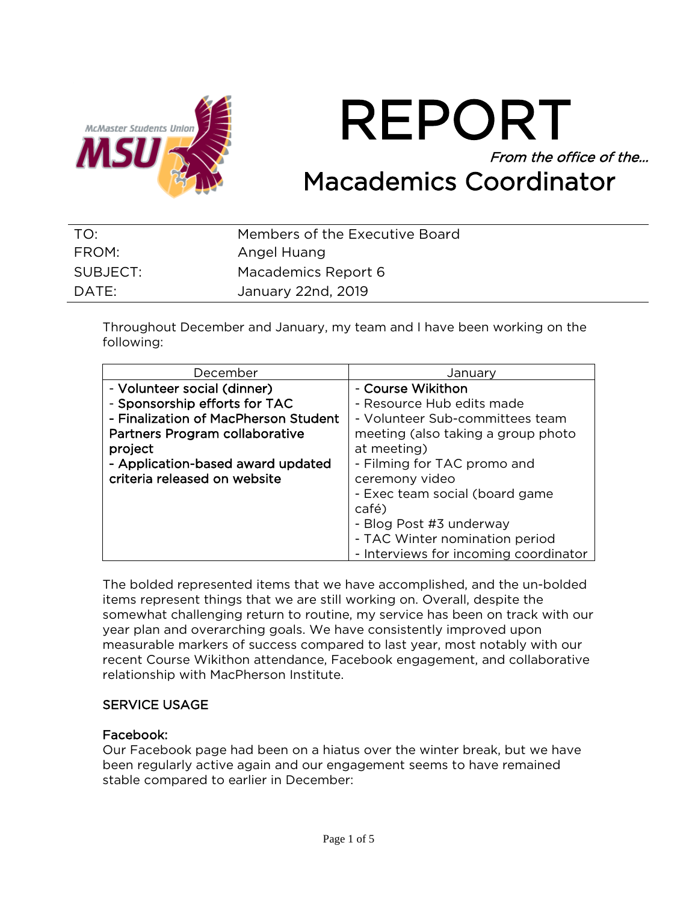

REPORT From the office of the… Macademics Coordinator

| TO:      | Members of the Executive Board |
|----------|--------------------------------|
| FROM:    | Angel Huang                    |
| SUBJECT: | Macademics Report 6            |
| DATE:    | January 22nd, 2019             |

Throughout December and January, my team and I have been working on the following:

| December                             | Januarv                               |
|--------------------------------------|---------------------------------------|
| - Volunteer social (dinner)          | - Course Wikithon                     |
| - Sponsorship efforts for TAC        | - Resource Hub edits made             |
| - Finalization of MacPherson Student | - Volunteer Sub-committees team       |
| Partners Program collaborative       | meeting (also taking a group photo    |
| project                              | at meeting)                           |
| - Application-based award updated    | - Filming for TAC promo and           |
| criteria released on website         | ceremony video                        |
|                                      | - Exec team social (board game        |
|                                      | café)                                 |
|                                      | - Blog Post #3 underway               |
|                                      | - TAC Winter nomination period        |
|                                      | - Interviews for incoming coordinator |

The bolded represented items that we have accomplished, and the un-bolded items represent things that we are still working on. Overall, despite the somewhat challenging return to routine, my service has been on track with our year plan and overarching goals. We have consistently improved upon measurable markers of success compared to last year, most notably with our recent Course Wikithon attendance, Facebook engagement, and collaborative relationship with MacPherson Institute.

### SERVICE USAGE

### Facebook:

Our Facebook page had been on a hiatus over the winter break, but we have been regularly active again and our engagement seems to have remained stable compared to earlier in December: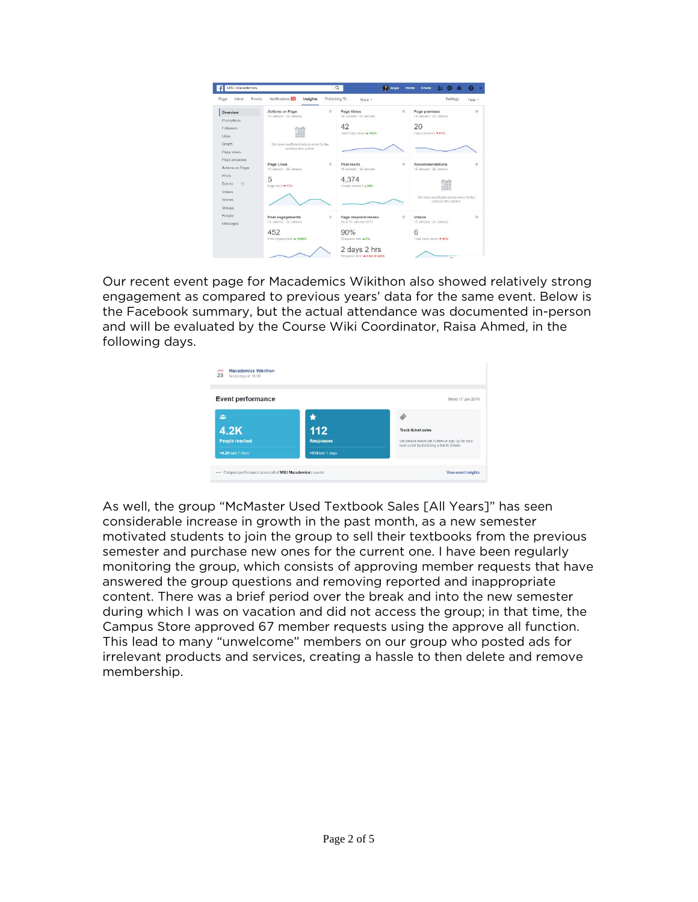

Our recent event page for Macademics Wikithon also showed relatively strong engagement as compared to previous years' data for the same event. Below is the Facebook summary, but the actual attendance was documented in-person and will be evaluated by the Course Wiki Coordinator, Raisa Ahmed, in the following days.

| <b>Event performance</b> |                  | Since 17 Jan 2019                                                                               |
|--------------------------|------------------|-------------------------------------------------------------------------------------------------|
| 281                      |                  |                                                                                                 |
| <b>4.2K</b>              | 112              | <b>Track ticket sales</b>                                                                       |
| <b>People reached</b>    | <b>Responses</b> | Let people easily get tickets or sign up for your<br>next event by including a link to tickets. |
| +4.2K last 7 days        | +113 last 7 days |                                                                                                 |

As well, the group "McMaster Used Textbook Sales [All Years]" has seen considerable increase in growth in the past month, as a new semester motivated students to join the group to sell their textbooks from the previous semester and purchase new ones for the current one. I have been regularly monitoring the group, which consists of approving member requests that have answered the group questions and removing reported and inappropriate content. There was a brief period over the break and into the new semester during which I was on vacation and did not access the group; in that time, the Campus Store approved 67 member requests using the approve all function. This lead to many "unwelcome" members on our group who posted ads for irrelevant products and services, creating a hassle to then delete and remove membership.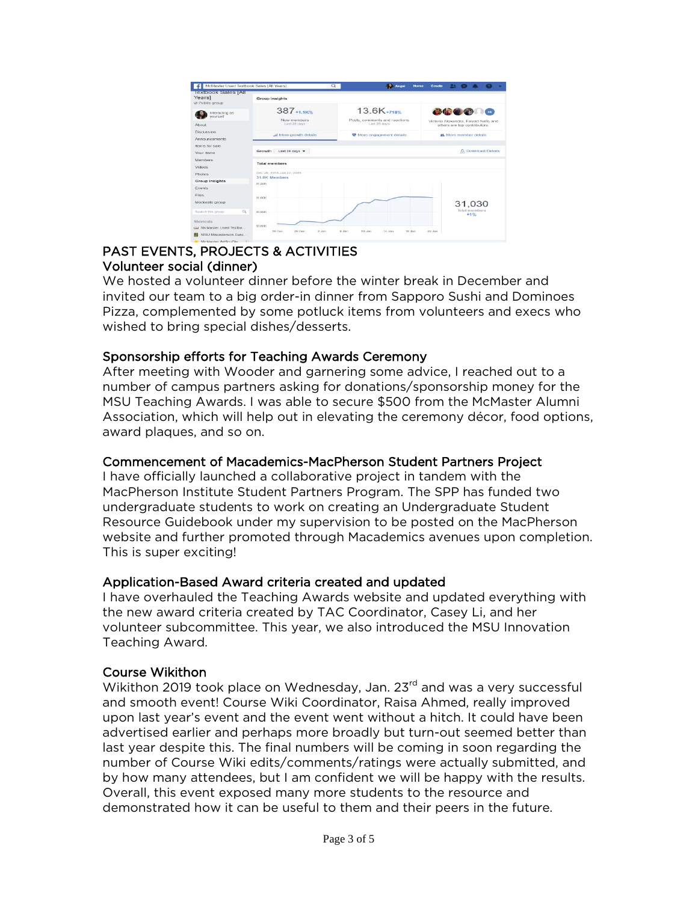| <b>Textbook Sales   All</b><br>Years]<br>@ Public group<br>Interacting as<br>yourself<br>About | Group Insights<br>387+1.1K%                             | $13.6K_{+718\%}$                                                                        |                                                                                                                         |
|------------------------------------------------------------------------------------------------|---------------------------------------------------------|-----------------------------------------------------------------------------------------|-------------------------------------------------------------------------------------------------------------------------|
|                                                                                                |                                                         |                                                                                         |                                                                                                                         |
| Discussion                                                                                     | New members<br>Last 28 days<br>all More growth details. | Posts, comments and reactions.<br>Last 28 days<br><sup>22</sup> More engagement details | <b>COOOO</b><br>Victoria Alexandra, Faiyad Nafis and<br>others are top contributors.<br><b>st</b> . More member details |
| Announcements<br>Items for sale                                                                | Growth Last 28 days                                     |                                                                                         | <b>8</b> Download Details                                                                                               |
| Your items<br>Members<br>Videos                                                                | <b>Total members</b>                                    |                                                                                         |                                                                                                                         |
| Photos                                                                                         | Dec 26, 2018, Jan 22, 2019<br>31.0K Members             |                                                                                         |                                                                                                                         |
| Group insights<br><b>Events</b>                                                                | 31.20K                                                  |                                                                                         |                                                                                                                         |
| Files<br>Moderate group                                                                        | 31,00K                                                  |                                                                                         | 31,030                                                                                                                  |
| $\alpha$<br>Search this group                                                                  | sp.ncec                                                 |                                                                                         | Total mombers<br>$+1%$                                                                                                  |
| Shortcuts<br>LLI McMaster Used Textbo<br>MSU Macademics Exec.                                  | 10.00K<br>26 Dec<br>20 Dec<br>$2$ Jan                   | 18 Jan<br>6 Jan<br>10 Jan<br>14 Jan                                                     | 22 Jan                                                                                                                  |

## PAST EVENTS, PROJECTS & ACTIVITIES Volunteer social (dinner)

We hosted a volunteer dinner before the winter break in December and invited our team to a big order-in dinner from Sapporo Sushi and Dominoes Pizza, complemented by some potluck items from volunteers and execs who wished to bring special dishes/desserts.

# Sponsorship efforts for Teaching Awards Ceremony

After meeting with Wooder and garnering some advice, I reached out to a number of campus partners asking for donations/sponsorship money for the MSU Teaching Awards. I was able to secure \$500 from the McMaster Alumni Association, which will help out in elevating the ceremony décor, food options, award plaques, and so on.

# Commencement of Macademics-MacPherson Student Partners Project

I have officially launched a collaborative project in tandem with the MacPherson Institute Student Partners Program. The SPP has funded two undergraduate students to work on creating an Undergraduate Student Resource Guidebook under my supervision to be posted on the MacPherson website and further promoted through Macademics avenues upon completion. This is super exciting!

# Application-Based Award criteria created and updated

I have overhauled the Teaching Awards website and updated everything with the new award criteria created by TAC Coordinator, Casey Li, and her volunteer subcommittee. This year, we also introduced the MSU Innovation Teaching Award.

# Course Wikithon

Wikithon 2019 took place on Wednesday, Jan. 23<sup>rd</sup> and was a very successful and smooth event! Course Wiki Coordinator, Raisa Ahmed, really improved upon last year's event and the event went without a hitch. It could have been advertised earlier and perhaps more broadly but turn-out seemed better than last year despite this. The final numbers will be coming in soon regarding the number of Course Wiki edits/comments/ratings were actually submitted, and by how many attendees, but I am confident we will be happy with the results. Overall, this event exposed many more students to the resource and demonstrated how it can be useful to them and their peers in the future.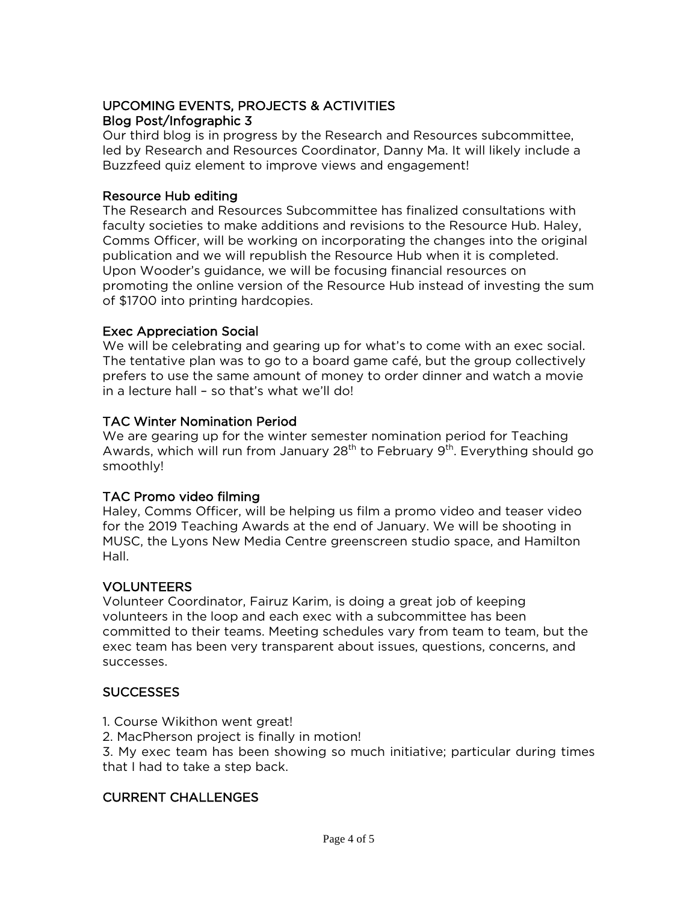# UPCOMING EVENTS, PROJECTS & ACTIVITIES Blog Post/Infographic 3

Our third blog is in progress by the Research and Resources subcommittee, led by Research and Resources Coordinator, Danny Ma. It will likely include a Buzzfeed quiz element to improve views and engagement!

# Resource Hub editing

The Research and Resources Subcommittee has finalized consultations with faculty societies to make additions and revisions to the Resource Hub. Haley, Comms Officer, will be working on incorporating the changes into the original publication and we will republish the Resource Hub when it is completed. Upon Wooder's guidance, we will be focusing financial resources on promoting the online version of the Resource Hub instead of investing the sum of \$1700 into printing hardcopies.

# Exec Appreciation Social

We will be celebrating and gearing up for what's to come with an exec social. The tentative plan was to go to a board game café, but the group collectively prefers to use the same amount of money to order dinner and watch a movie in a lecture hall – so that's what we'll do!

# TAC Winter Nomination Period

We are gearing up for the winter semester nomination period for Teaching Awards, which will run from January  $28<sup>th</sup>$  to February  $9<sup>th</sup>$ . Everything should go smoothly!

# TAC Promo video filming

Haley, Comms Officer, will be helping us film a promo video and teaser video for the 2019 Teaching Awards at the end of January. We will be shooting in MUSC, the Lyons New Media Centre greenscreen studio space, and Hamilton Hall.

# VOLUNTEERS

Volunteer Coordinator, Fairuz Karim, is doing a great job of keeping volunteers in the loop and each exec with a subcommittee has been committed to their teams. Meeting schedules vary from team to team, but the exec team has been very transparent about issues, questions, concerns, and successes.

# SUCCESSES

- 1. Course Wikithon went great!
- 2. MacPherson project is finally in motion!

3. My exec team has been showing so much initiative; particular during times that I had to take a step back.

# CURRENT CHALLENGES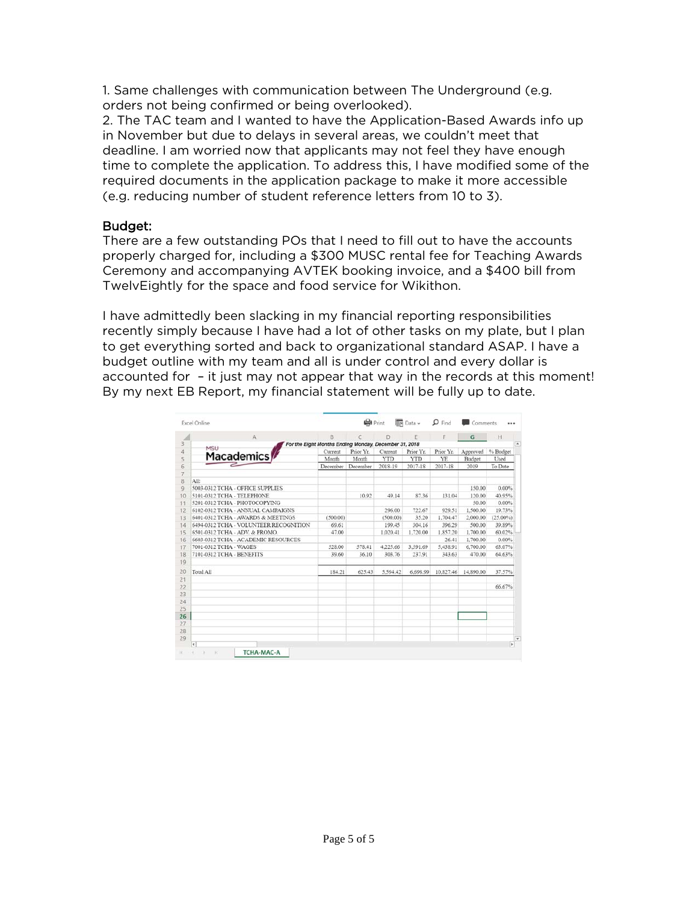1. Same challenges with communication between The Underground (e.g. orders not being confirmed or being overlooked).

2. The TAC team and I wanted to have the Application-Based Awards info up in November but due to delays in several areas, we couldn't meet that deadline. I am worried now that applicants may not feel they have enough time to complete the application. To address this, I have modified some of the required documents in the application package to make it more accessible (e.g. reducing number of student reference letters from 10 to 3).

### Budget:

There are a few outstanding POs that I need to fill out to have the accounts properly charged for, including a \$300 MUSC rental fee for Teaching Awards Ceremony and accompanying AVTEK booking invoice, and a \$400 bill from TwelvEightly for the space and food service for Wikithon.

I have admittedly been slacking in my financial reporting responsibilities recently simply because I have had a lot of other tasks on my plate, but I plan to get everything sorted and back to organizational standard ASAP. I have a budget outline with my team and all is under control and every dollar is accounted for – it just may not appear that way in the records at this moment! By my next EB Report, my financial statement will be fully up to date.

| Excel Online                           |                                                       | <b>O</b> Print |          | <b>IF</b> Data ~ | $\mathbf{D}$ Find | Comments  |          |
|----------------------------------------|-------------------------------------------------------|----------------|----------|------------------|-------------------|-----------|----------|
| $\mathbb{A}$                           | B                                                     |                | Ð        | E                | F                 | G         | H        |
| MSU                                    | For the Eight Months Ending Monday, December 31, 2018 |                |          |                  |                   |           |          |
| Macademics                             | Current                                               | Prior Yr.      | Current  | Prior Yr.        | Prior Yr.         | Approved  | % Budget |
|                                        | Month                                                 | Month          | YTD      | <b>YTD</b>       | YE                | Budget    | Used     |
|                                        | December                                              | December       | 2018-19  | 2017-18          | 2017-18           | 2019      | To Date  |
| All:                                   |                                                       |                |          |                  |                   |           |          |
| 5003-0312 TCHA - OFFICE SUPPLIES       |                                                       |                |          |                  |                   | 150.00    | 0.00%    |
| 5101-0312 TCHA - TELEPHONE             |                                                       | 10.92          | 49.14    | 87.36            | 131.04            | 120.00    | 40.95%   |
| 5201-0312 TCHA - PHOTOCOPYING          |                                                       |                |          |                  |                   | 50.00     | 0.00%    |
| 6102-0312 TCHA - ANNUAL CAMPAIGNS      |                                                       |                | 296.00   | 722.67           | 929.51            | 1,500,00  | 19.73%   |
| 6401-0312 TCHA - AWARDS & MEETINGS     | (500.00)                                              |                | (500.00) | 35.20            | 1,704.47          | 2,000.00  | (25.00%) |
| 6494-0312 TCHA - VOLUNTEER RECOGNITION | 69.61                                                 |                | 199.45   | 304.16           | 396.29            | 500.00    | 39.89%   |
| 6501-0312 TCHA - ADV. & PROMO.         | 47.00                                                 |                | 1.020.41 | 1,720.00         | 1.857.20          | 1,700.00  | 60.02%   |
| 6603-0312 TCHA - ACADEMIC RESOURCES    |                                                       |                |          |                  | 26.41             | 1,700.00  | 0.00%    |
| 7001-0312 TCHA - WAGES                 | 528.00                                                | 578.41         | 4,225.66 | 3.591.69         | 5,438.91          | 6,700.00  | 63.07%   |
| 7101-0312 TCHA - BENEFITS              | 39.60                                                 | 36.10          | 303.76   | 237.91           | 343.63            | 470.00    | 64.63%   |
|                                        |                                                       |                |          |                  |                   |           |          |
| Total All                              | 184.21                                                | 625.43         | 5.594.42 | 6,698.99         | 10.827.46         | 14,890.00 | 37.57%   |
|                                        |                                                       |                |          |                  |                   |           | 66.67%   |
|                                        |                                                       |                |          |                  |                   |           |          |
|                                        |                                                       |                |          |                  |                   |           |          |
|                                        |                                                       |                |          |                  |                   |           |          |
|                                        |                                                       |                |          |                  |                   |           |          |
|                                        |                                                       |                |          |                  |                   |           |          |
|                                        |                                                       |                |          |                  |                   |           |          |
|                                        |                                                       |                |          |                  |                   |           |          |
| H                                      |                                                       |                |          |                  |                   |           |          |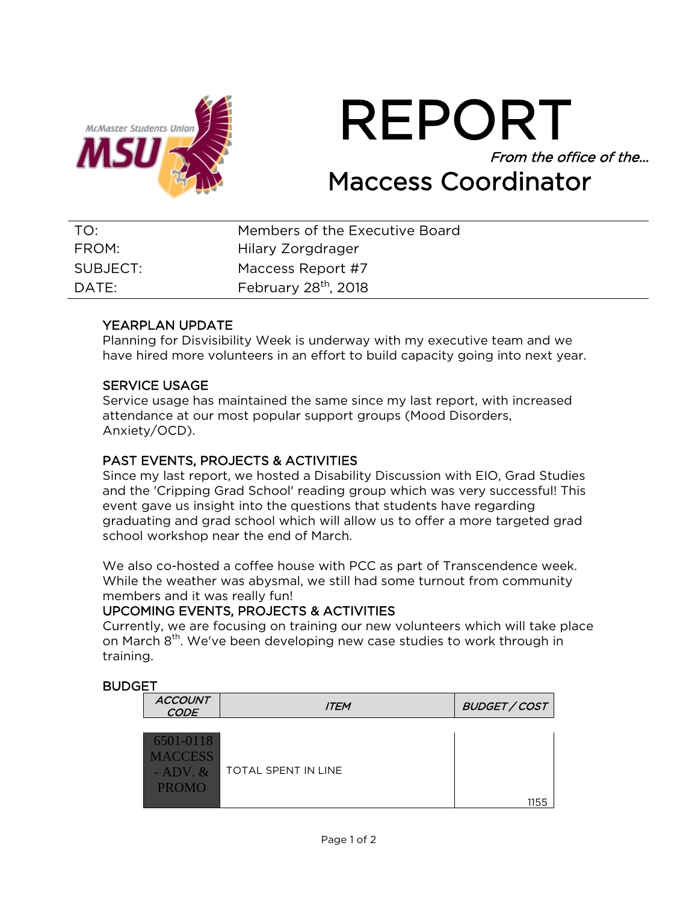

REPORT From the office of the… From the office<br>Maccess Coordinator

| TO:      | Members of the Executive Board   |
|----------|----------------------------------|
| FROM:    | Hilary Zorgdrager                |
| SUBJECT: | Maccess Report #7                |
| DATE:    | February 28 <sup>th</sup> , 2018 |

# YEARPLAN UPDATE

Planning for Disvisibility Week is underway with my executive team and we have hired more volunteers in an effort to build capacity going into next year.

### SERVICE USAGE

Service usage has maintained the same since my last report, with increased attendance at our most popular support groups (Mood Disorders, Anxiety/OCD).

# PAST EVENTS, PROJECTS & ACTIVITIES

Since my last report, we hosted a Disability Discussion with EIO, Grad Studies and the 'Cripping Grad School' reading group which was very successful! This event gave us insight into the questions that students have regarding graduating and grad school which will allow us to offer a more targeted grad school workshop near the end of March.

We also co-hosted a coffee house with PCC as part of Transcendence week. While the weather was abysmal, we still had some turnout from community members and it was really fun!

# UPCOMING EVENTS, PROJECTS & ACTIVITIES

Currently, we are focusing on training our new volunteers which will take place on March 8<sup>th</sup>. We've been developing new case studies to work through in training.

# **BUDGET**

| <b>ACCOUNT</b><br><b>CODE</b>                                | <b>ITEM</b>         | <b>BUDGET / COST</b> |
|--------------------------------------------------------------|---------------------|----------------------|
| 6501-0118<br><b>MACCESS</b><br>$-$ ADV. $\&$<br><b>PROMO</b> | TOTAL SPENT IN LINE | 1155                 |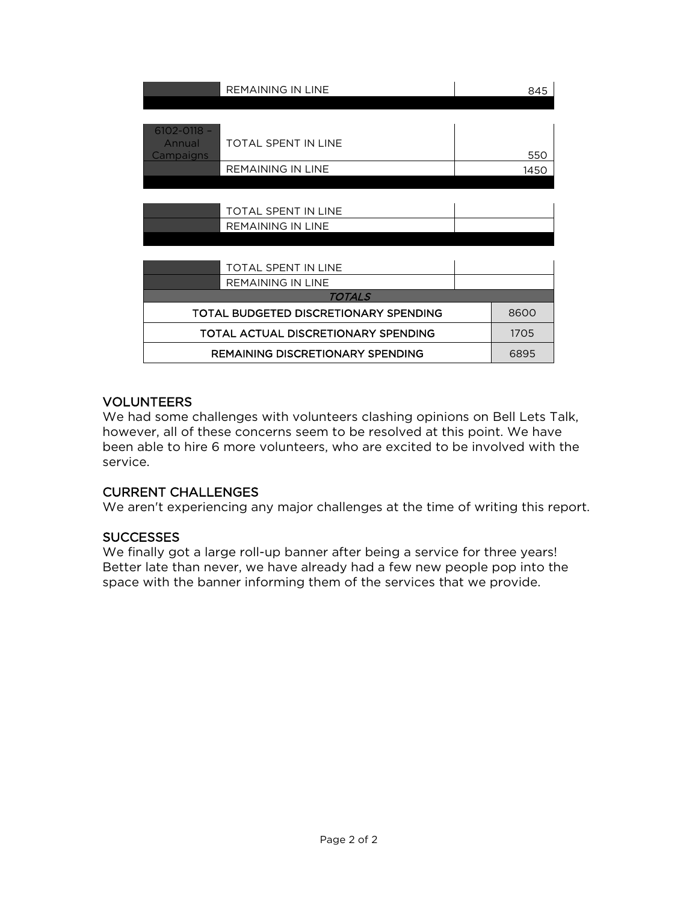|                                        | <b>REMAINING IN LINE</b>                | 845  |
|----------------------------------------|-----------------------------------------|------|
| $6102 - 0118 -$<br>Annual<br>Campaigns | TOTAL SPENT IN LINE                     | 550  |
|                                        | <b>REMAINING IN LINE</b>                | 1450 |
|                                        |                                         |      |
|                                        | TOTAL SPENT IN LINE                     |      |
|                                        | <b>REMAINING IN LINE</b>                |      |
|                                        |                                         |      |
|                                        | TOTAL SPENT IN LINE                     |      |
|                                        | <b>REMAINING IN LINE</b>                |      |
|                                        | TOTALS                                  |      |
|                                        | TOTAL BUDGETED DISCRETIONARY SPENDING   | 8600 |
|                                        | TOTAL ACTUAL DISCRETIONARY SPENDING     | 1705 |
|                                        | <b>REMAINING DISCRETIONARY SPENDING</b> | 6895 |

# VOLUNTEERS

We had some challenges with volunteers clashing opinions on Bell Lets Talk, however, all of these concerns seem to be resolved at this point. We have been able to hire 6 more volunteers, who are excited to be involved with the service.

# CURRENT CHALLENGES

We aren't experiencing any major challenges at the time of writing this report.

# **SUCCESSES**

We finally got a large roll-up banner after being a service for three years! Better late than never, we have already had a few new people pop into the space with the banner informing them of the services that we provide.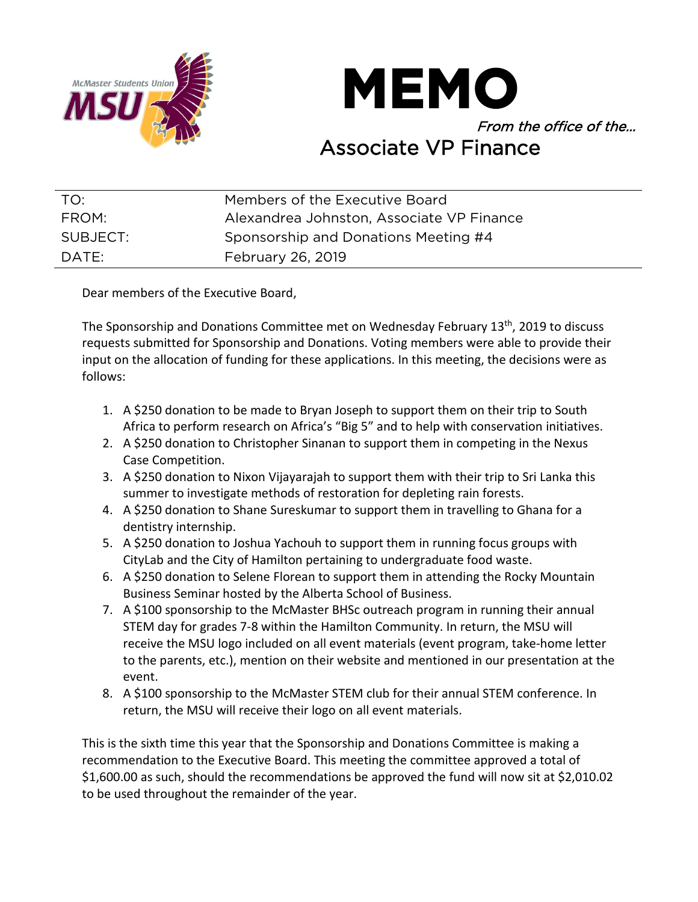



| TO:      | Members of the Executive Board            |
|----------|-------------------------------------------|
| FROM:    | Alexandrea Johnston, Associate VP Finance |
| SUBJECT: | Sponsorship and Donations Meeting #4      |
| DATE:    | February 26, 2019                         |

Dear members of the Executive Board,

The Sponsorship and Donations Committee met on Wednesday February 13<sup>th</sup>, 2019 to discuss requests submitted for Sponsorship and Donations. Voting members were able to provide their input on the allocation of funding for these applications. In this meeting, the decisions were as follows:

- 1. A \$250 donation to be made to Bryan Joseph to support them on their trip to South Africa to perform research on Africa's "Big 5" and to help with conservation initiatives.
- 2. A \$250 donation to Christopher Sinanan to support them in competing in the Nexus Case Competition.
- 3. A \$250 donation to Nixon Vijayarajah to support them with their trip to Sri Lanka this summer to investigate methods of restoration for depleting rain forests.
- 4. A \$250 donation to Shane Sureskumar to support them in travelling to Ghana for a dentistry internship.
- 5. A \$250 donation to Joshua Yachouh to support them in running focus groups with CityLab and the City of Hamilton pertaining to undergraduate food waste.
- 6. A \$250 donation to Selene Florean to support them in attending the Rocky Mountain Business Seminar hosted by the Alberta School of Business.
- 7. A \$100 sponsorship to the McMaster BHSc outreach program in running their annual STEM day for grades 7-8 within the Hamilton Community. In return, the MSU will receive the MSU logo included on all event materials (event program, take-home letter to the parents, etc.), mention on their website and mentioned in our presentation at the event.
- 8. A \$100 sponsorship to the McMaster STEM club for their annual STEM conference. In return, the MSU will receive their logo on all event materials.

This is the sixth time this year that the Sponsorship and Donations Committee is making a recommendation to the Executive Board. This meeting the committee approved a total of \$1,600.00 as such, should the recommendations be approved the fund will now sit at \$2,010.02 to be used throughout the remainder of the year.